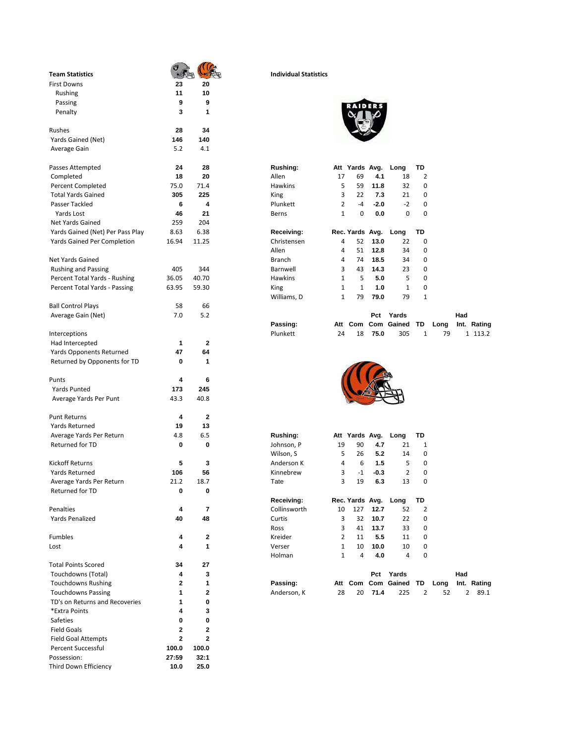| <b>Team Statistics</b>             |             |                         | <b>Individual Statistics</b> |                              |                      |             |                       |                |      |      |
|------------------------------------|-------------|-------------------------|------------------------------|------------------------------|----------------------|-------------|-----------------------|----------------|------|------|
| <b>First Downs</b>                 | 23          | 20                      |                              |                              |                      |             |                       |                |      |      |
| Rushing                            | 11          | 10                      |                              |                              |                      |             |                       |                |      |      |
| Passing                            | 9           | 9                       |                              |                              |                      |             |                       |                |      |      |
| Penalty                            | 3           | 1                       |                              |                              |                      |             |                       |                |      |      |
| Rushes                             | 28          | 34                      |                              |                              |                      |             |                       |                |      |      |
| Yards Gained (Net)                 | 146         | 140                     |                              |                              |                      |             |                       |                |      |      |
| Average Gain                       | 5.2         | 4.1                     |                              |                              |                      |             |                       |                |      |      |
| Passes Attempted                   | 24          | 28                      | <b>Rushing:</b>              |                              | Att Yards Avg.       |             | Long                  | TD             |      |      |
| Completed                          | 18          | 20                      | Allen                        | 17                           | 69                   | 4.1         | 18                    | $\overline{2}$ |      |      |
| <b>Percent Completed</b>           | 75.0        | 71.4                    | <b>Hawkins</b>               | 5                            | 59                   | 11.8        | 32                    | 0              |      |      |
| <b>Total Yards Gained</b>          | 305         | 225                     | King                         | 3                            | 22                   | 7.3         | 21                    | 0              |      |      |
| Passer Tackled                     | 6           | 4                       | Plunkett                     | 2                            | $-4$                 | $-2.0$      | $-2$                  | $\mathbf 0$    |      |      |
| Yards Lost                         | 46          | 21                      | Berns                        | $\mathbf{1}$                 | 0                    | 0.0         | 0                     | $\mathbf 0$    |      |      |
| Net Yards Gained                   | 259         | 204                     |                              |                              |                      |             |                       |                |      |      |
| Yards Gained (Net) Per Pass Play   | 8.63        | 6.38                    | Receiving:                   |                              | Rec. Yards Avg.      |             | Long                  | TD             |      |      |
| <b>Yards Gained Per Completion</b> | 16.94       | 11.25                   | Christensen                  | 4                            | 52                   | 13.0        | 22                    | 0              |      |      |
|                                    |             |                         | Allen                        | 4                            | 51                   | 12.8        | 34                    | 0              |      |      |
| Net Yards Gained                   |             |                         | <b>Branch</b>                | 4                            | 74                   | 18.5        | 34                    | 0              |      |      |
|                                    |             |                         |                              |                              |                      |             |                       |                |      |      |
| <b>Rushing and Passing</b>         | 405         | 344                     | Barnwell                     | 3                            | 43                   | 14.3        | 23                    | 0              |      |      |
| Percent Total Yards - Rushing      | 36.05       | 40.70                   | Hawkins                      | $\mathbf{1}$                 | 5                    | 5.0         | 5                     | 0              |      |      |
| Percent Total Yards - Passing      | 63.95       | 59.30                   | King                         | 1                            | $\mathbf{1}$         | 1.0         | $\mathbf{1}$          | 0              |      |      |
|                                    |             |                         | Williams, D                  | 1                            | 79                   | 79.0        | 79                    | $\mathbf{1}$   |      |      |
| <b>Ball Control Plays</b>          | 58          | 66                      |                              |                              |                      |             |                       |                |      |      |
| Average Gain (Net)                 | 7.0         | 5.2                     |                              |                              |                      | Pct         | Yards                 |                |      | Had  |
|                                    |             |                         | Passing:                     |                              | Att Com              |             | Com Gained            | TD             | Long | Int. |
| Interceptions                      |             |                         | Plunkett                     | 24                           | 18                   | 75.0        | 305                   | $\mathbf{1}$   | 79   |      |
| Had Intercepted                    | 1           | $\overline{2}$          |                              |                              |                      |             |                       |                |      |      |
| <b>Yards Opponents Returned</b>    | 47          | 64                      |                              |                              |                      |             |                       |                |      |      |
| Returned by Opponents for TD       | 0           | 1                       |                              |                              |                      |             |                       |                |      |      |
|                                    |             |                         |                              |                              |                      |             |                       |                |      |      |
| Punts                              | 4           | 6                       |                              |                              |                      |             |                       |                |      |      |
| Yards Punted                       | 173         | 245                     |                              |                              |                      |             |                       |                |      |      |
| Average Yards Per Punt             | 43.3        | 40.8                    |                              |                              |                      |             |                       |                |      |      |
| <b>Punt Returns</b>                | 4           | 2                       |                              |                              |                      |             |                       |                |      |      |
| Yards Returned                     | 19          | 13                      |                              |                              |                      |             |                       |                |      |      |
| Average Yards Per Return           | 4.8         | 6.5                     | Rushing:                     |                              | Att Yards Avg.       |             | Long                  | TD             |      |      |
| Returned for TD                    | 0           | 0                       | Johnson, P                   | 19                           | 90                   | 4.7         | 21                    | 1              |      |      |
|                                    |             |                         | Wilson, S                    | 5                            | 26                   | 5.2         | 14                    | 0              |      |      |
| <b>Kickoff Returns</b>             | 5           | 3                       | Anderson K                   | 4                            | 6                    | 1.5         | 5                     | 0              |      |      |
|                                    | 106         | 56                      | Kinnebrew                    | 3                            | $-1$                 | -0.3        | 2                     | 0              |      |      |
| Yards Returned                     |             |                         |                              |                              |                      |             |                       |                |      |      |
| Average Yards Per Return           | 21.2        | 18.7                    | Tate                         | 3                            | 19                   | 6.3         | 13                    | 0              |      |      |
| Returned for TD                    | 0           | 0                       |                              |                              |                      |             |                       |                |      |      |
|                                    |             |                         | Receiving:                   |                              |                      |             | Rec. Yards Avg. Long  | TD             |      |      |
| Penalties                          | 4           | $\overline{\mathbf{r}}$ | Collinsworth                 | 10                           | 127                  | 12.7        | 52                    | $\overline{2}$ |      |      |
| <b>Yards Penalized</b>             | 40          | 48                      | Curtis                       | 3                            | 32                   | 10.7        | 22                    | 0              |      |      |
|                                    |             |                         | Ross                         | 3                            | 41                   | 13.7        | 33                    | 0              |      |      |
| Fumbles                            | 4           | 2                       | Kreider                      | $\overline{2}$               | 11                   | 5.5         | 11                    | 0              |      |      |
| Lost                               | 4           | 1                       | Verser<br>Holman             | $\mathbf{1}$<br>$\mathbf{1}$ | 10<br>$\overline{4}$ | 10.0<br>4.0 | 10<br>4               | 0<br>0         |      |      |
| <b>Total Points Scored</b>         | 34          | 27                      |                              |                              |                      |             |                       |                |      |      |
| Touchdowns (Total)                 | 4           | 3                       |                              |                              |                      |             | Pct Yards             |                |      | Had  |
| <b>Touchdowns Rushing</b>          | 2           | 1                       | Passing:                     |                              |                      |             | Att Com Com Gained TD |                | Long | Int. |
| <b>Touchdowns Passing</b>          | 1           | 2                       | Anderson, K                  | 28                           | 20                   | 71.4        | 225                   | $\overline{2}$ | 52   |      |
| TD's on Returns and Recoveries     | 1           | 0                       |                              |                              |                      |             |                       |                |      |      |
|                                    |             |                         |                              |                              |                      |             |                       |                |      |      |
| *Extra Points                      | 4           | 3                       |                              |                              |                      |             |                       |                |      |      |
| Safeties                           | 0           | 0                       |                              |                              |                      |             |                       |                |      |      |
| <b>Field Goals</b>                 | 2           | 2                       |                              |                              |                      |             |                       |                |      |      |
| <b>Field Goal Attempts</b>         | $\mathbf 2$ | $\mathbf 2$             |                              |                              |                      |             |                       |                |      |      |
| <b>Percent Successful</b>          | 100.0       | 100.0                   |                              |                              |                      |             |                       |                |      |      |
| Possession:                        | 27:59       | 32:1                    |                              |                              |                      |             |                       |                |      |      |
| Third Down Efficiency              | 10.0        | 25.0                    |                              |                              |                      |             |                       |                |      |      |

## **Team Statistics Individual Statistics**



| Rushing:       |                | Att Yards Avg.  |        | Long | TD           |
|----------------|----------------|-----------------|--------|------|--------------|
| Allen          | 17             | 69              | 4.1    | 18   | 2            |
| <b>Hawkins</b> | 5              | 59              | 11.8   | 32   | 0            |
| King           | 3              | 22              | 7.3    | 21   | 0            |
| Plunkett       | $\overline{2}$ | $-4$            | $-2.0$ | $-2$ | 0            |
| Berns          | $\mathbf{1}$   | 0               | 0.0    | 0    | 0            |
|                |                |                 |        |      |              |
| Receiving:     |                | Rec. Yards Avg. |        | Long | TD           |
| Christensen    | 4              | 52              | 13.0   | 22   | 0            |
| Allen          | 4              | 51              | 12.8   | 34   | 0            |
| <b>Branch</b>  | 4              | 74              | 18.5   | 34   | 0            |
| Barnwell       | 3              | 43              | 14.3   | 23   | 0            |
| <b>Hawkins</b> | $\mathbf{1}$   | 5               | 5.0    | 5    | ŋ            |
| King           | $\mathbf{1}$   | 1               | 1.0    | 1    | 0            |
| Williams, D    | 1              | 79              | 79.0   | 79   | $\mathbf{1}$ |

| Average Gain (Net) | 7.0 |          |       | Pct  | Yards                                  |    | Had |         |  |
|--------------------|-----|----------|-------|------|----------------------------------------|----|-----|---------|--|
|                    |     | Passing: |       |      | Att Com Com Gained TD Long Int. Rating |    |     |         |  |
| Interceptions      |     | Plunkett | 24 18 | 75.0 | 305                                    | 79 |     | 1 113.2 |  |



| Average Yards Per Return   | 4.8  | 6.5          | Rushing:     | Att | Yards Avg.      |        | Long       | TD |      |      |        |  |
|----------------------------|------|--------------|--------------|-----|-----------------|--------|------------|----|------|------|--------|--|
| <b>Returned for TD</b>     | 0    | 0            | Johnson, P   | 19  | 90              | 4.7    | 21         | 1  |      |      |        |  |
|                            |      |              | Wilson, S    | 5   | 26              | 5.2    | 14         | 0  |      |      |        |  |
| Kickoff Returns            | 5    | 3            | Anderson K   | 4   | 6               | 1.5    | 5          | 0  |      |      |        |  |
| Yards Returned             | 106  | 56           | Kinnebrew    | 3   | $-1$            | $-0.3$ | 2          | 0  |      |      |        |  |
| Average Yards Per Return   | 21.2 | 18.7         | Tate         | 3   | 19              | 6.3    | 13         | 0  |      |      |        |  |
| <b>Returned for TD</b>     | 0    | 0            |              |     |                 |        |            |    |      |      |        |  |
|                            |      |              | Receiving:   |     | Rec. Yards Avg. |        | Long       | TD |      |      |        |  |
| Penalties                  | 4    | 7            | Collinsworth | 10  | 127             | 12.7   | 52         | 2  |      |      |        |  |
| <b>Yards Penalized</b>     | 40   | 48           | Curtis       | 3   | 32              | 10.7   | 22         | 0  |      |      |        |  |
|                            |      |              | Ross         | 3   | 41              | 13.7   | 33         | 0  |      |      |        |  |
| Fumbles                    | 4    | $\mathbf{2}$ | Kreider      | 2   | 11              | 5.5    | 11         | 0  |      |      |        |  |
| Lost                       | 4    | 1            | Verser       | 1   | 10              | 10.0   | 10         | 0  |      |      |        |  |
|                            |      |              | Holman       | 1   | 4               | 4.0    | 4          | 0  |      |      |        |  |
| <b>Total Points Scored</b> | 34   | 27           |              |     |                 |        |            |    |      |      |        |  |
| Touchdowns (Total)         | 4    | 3            |              |     |                 | Pct    | Yards      |    |      | Had  |        |  |
| <b>Touchdowns Rushing</b>  | 2    | 1            | Passing:     | Att | Com             |        | Com Gained | TD | Long | Int. | Rating |  |
| <b>Touchdowns Passing</b>  | 1    | $\mathbf{2}$ | Anderson, K  | 28  | 20              | 71.4   | 225        | 2  | 52   | 2    | 89.1   |  |